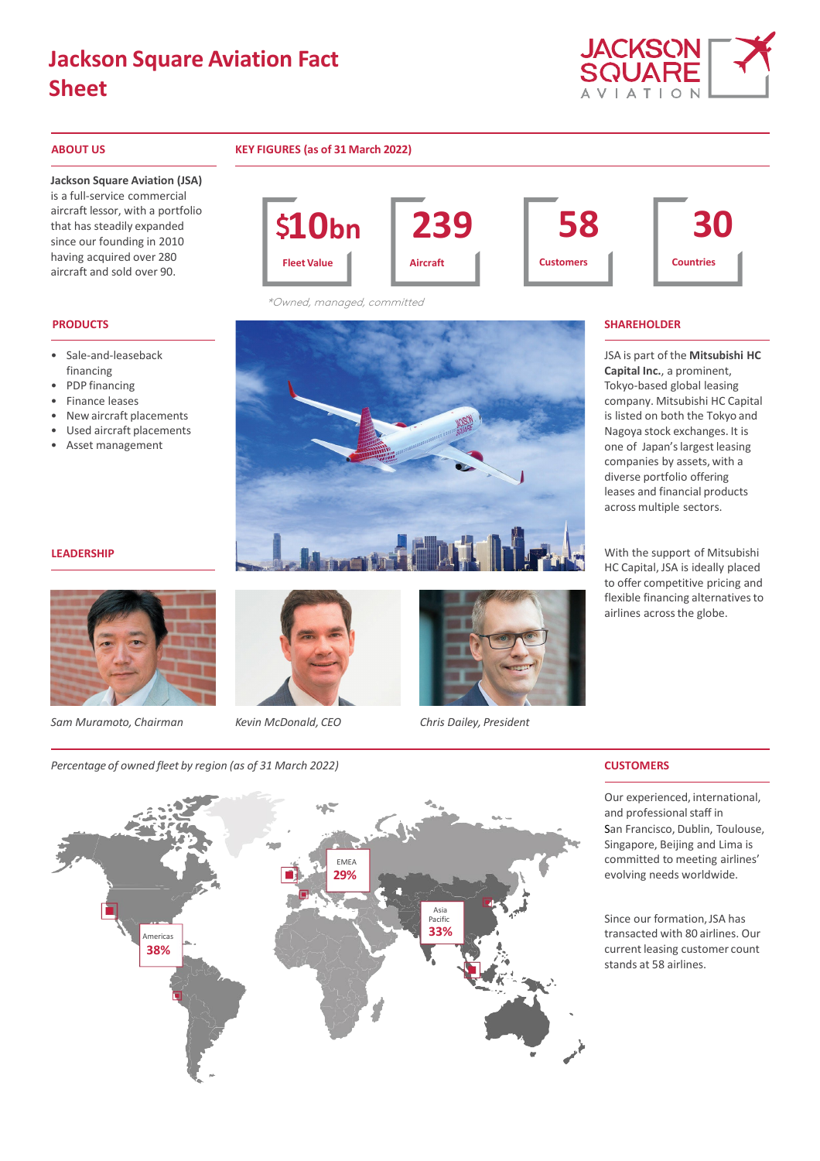# **Jackson Square Aviation Fact Sheet**



### **ABOUT US KEY FIGURES (as of 31 March 2022)**

**Jackson Square Aviation (JSA)** 

is a full-service commercial aircraft lessor, with a portfolio that has steadily expanded since our founding in 2010 having acquired over 280 aircraft and sold over 90.

- Sale-and-leaseback financing
- PDP financing
- Finance leases
- New aircraft placements
- Used aircraft placements • Asset management

# **10bn 239 Aircraft 58 Customers 30 Countries Fleet Value**

\*Owned, managed, committed



JSA is part of the **Mitsubishi HC Capital Inc.**, a prominent, Tokyo-based global leasing company. Mitsubishi HC Capital is listed on both the Tokyo and Nagoya stock exchanges. It is one of Japan'slargest leasing companies by assets, with a diverse portfolio offering leases and financial products across multiple sectors.

With the support of Mitsubishi HC Capital, JSA is ideally placed to offer competitive pricing and flexible financing alternatives to airlines acrossthe globe.

### **LEADERSHIP**



*Sam Muramoto, Chairman Kevin McDonald, CEO Chris Dailey, President*



*Percentage of owned fleet by region (as of 31 March 2022)* **CUSTOMERS**



Our experienced, international, and professional staff in San Francisco, Dublin, Toulouse, Singapore, Beijing and Lima is committed to meeting airlines' evolving needs worldwide.

Since our formation,JSA has transacted with 80 airlines. Our current leasing customer count stands at 58 airlines.